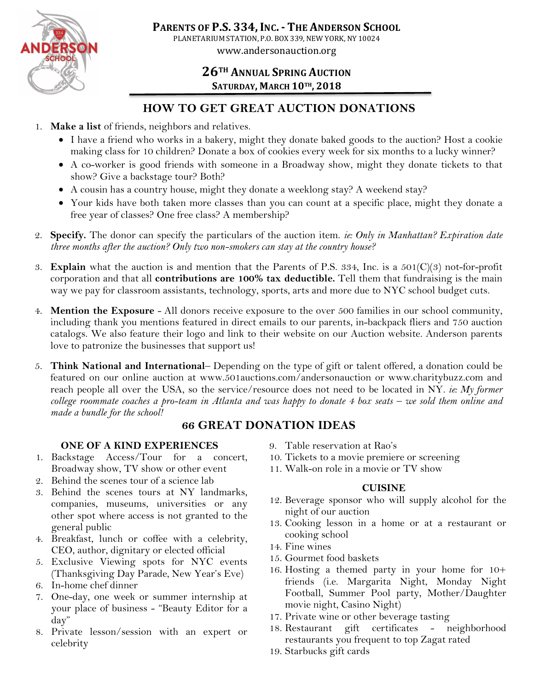

# **26TH ANNUAL SPRING AUCTION SATURDAY, MARCH 10TH, 2018**

# **HOW TO GET GREAT AUCTION DONATIONS**

- 1. **Make a list** of friends, neighbors and relatives.
	- I have a friend who works in a bakery, might they donate baked goods to the auction? Host a cookie making class for 10 children? Donate a box of cookies every week for six months to a lucky winner?
	- A co-worker is good friends with someone in a Broadway show, might they donate tickets to that show? Give a backstage tour? Both?
	- A cousin has a country house, might they donate a weeklong stay? A weekend stay?
	- Your kids have both taken more classes than you can count at a specific place, might they donate a free year of classes? One free class? A membership?
- 2. **Specify.** The donor can specify the particulars of the auction item. *ie: Only in Manhattan? Expiration date three months after the auction? Only two non-smokers can stay at the country house?*
- 3. **Explain** what the auction is and mention that the Parents of P.S. 334, Inc. is a 501(C)(3) not-for-profit corporation and that all **contributions are 100% tax deductible.** Tell them that fundraising is the main way we pay for classroom assistants, technology, sports, arts and more due to NYC school budget cuts.
- 4. **Mention the Exposure**  All donors receive exposure to the over 500 families in our school community, including thank you mentions featured in direct emails to our parents, in-backpack fliers and 750 auction catalogs. We also feature their logo and link to their website on our Auction website. Anderson parents love to patronize the businesses that support us!
- 5. **Think National and International** Depending on the type of gift or talent offered, a donation could be featured on our online auction at www.501auctions.com/andersonauction or www.charitybuzz.com and reach people all over the USA, so the service/resource does not need to be located in NY. *ie: My former college roommate coaches a pro-team in Atlanta and was happy to donate 4 box seats – we sold them online and made a bundle for the school!*

## **66 GREAT DONATION IDEAS**

#### **ONE OF A KIND EXPERIENCES**

- 1. Backstage Access/Tour for a concert, Broadway show, TV show or other event
- 2. Behind the scenes tour of a science lab
- 3. Behind the scenes tours at NY landmarks, companies, museums, universities or any other spot where access is not granted to the general public
- 4. Breakfast, lunch or coffee with a celebrity, CEO, author, dignitary or elected official
- 5. Exclusive Viewing spots for NYC events (Thanksgiving Day Parade, New Year's Eve)
- 6. In-home chef dinner
- 7. One-day, one week or summer internship at your place of business - "Beauty Editor for a day"
- 8. Private lesson/session with an expert or celebrity
- 9. Table reservation at Rao's
- 10. Tickets to a movie premiere or screening
- 11. Walk-on role in a movie or TV show

#### **CUISINE**

- 12. Beverage sponsor who will supply alcohol for the night of our auction
- 13. Cooking lesson in a home or at a restaurant or cooking school
- 14. Fine wines
- 15. Gourmet food baskets
- 16. Hosting a themed party in your home for 10+ friends (i.e. Margarita Night, Monday Night Football, Summer Pool party, Mother/Daughter movie night, Casino Night)
- 17. Private wine or other beverage tasting
- 18. Restaurant gift certificates neighborhood restaurants you frequent to top Zagat rated
- 19. Starbucks gift cards